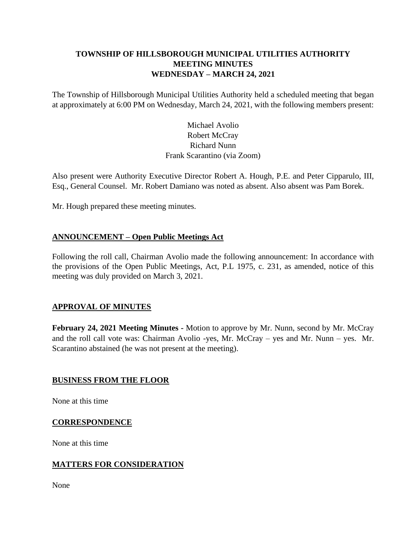# **TOWNSHIP OF HILLSBOROUGH MUNICIPAL UTILITIES AUTHORITY MEETING MINUTES WEDNESDAY – MARCH 24, 2021**

The Township of Hillsborough Municipal Utilities Authority held a scheduled meeting that began at approximately at 6:00 PM on Wednesday, March 24, 2021, with the following members present:

# Michael Avolio Robert McCray Richard Nunn Frank Scarantino (via Zoom)

Also present were Authority Executive Director Robert A. Hough, P.E. and Peter Cipparulo, III, Esq., General Counsel. Mr. Robert Damiano was noted as absent. Also absent was Pam Borek.

Mr. Hough prepared these meeting minutes.

## **ANNOUNCEMENT – Open Public Meetings Act**

Following the roll call, Chairman Avolio made the following announcement: In accordance with the provisions of the Open Public Meetings, Act, P.L 1975, c. 231, as amended, notice of this meeting was duly provided on March 3, 2021.

## **APPROVAL OF MINUTES**

**February 24, 2021 Meeting Minutes -** Motion to approve by Mr. Nunn, second by Mr. McCray and the roll call vote was: Chairman Avolio -yes, Mr. McCray – yes and Mr. Nunn – yes. Mr. Scarantino abstained (he was not present at the meeting).

## **BUSINESS FROM THE FLOOR**

None at this time

#### **CORRESPONDENCE**

None at this time

## **MATTERS FOR CONSIDERATION**

None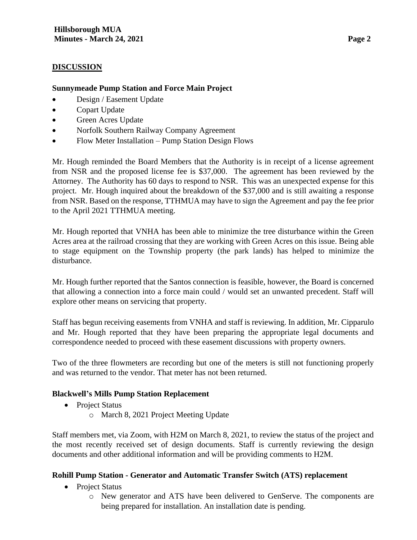#### **DISCUSSION**

#### **Sunnymeade Pump Station and Force Main Project**

- Design / Easement Update
- Copart Update
- Green Acres Update
- Norfolk Southern Railway Company Agreement
- Flow Meter Installation Pump Station Design Flows

Mr. Hough reminded the Board Members that the Authority is in receipt of a license agreement from NSR and the proposed license fee is \$37,000. The agreement has been reviewed by the Attorney. The Authority has 60 days to respond to NSR. This was an unexpected expense for this project. Mr. Hough inquired about the breakdown of the \$37,000 and is still awaiting a response from NSR. Based on the response, TTHMUA may have to sign the Agreement and pay the fee prior to the April 2021 TTHMUA meeting.

Mr. Hough reported that VNHA has been able to minimize the tree disturbance within the Green Acres area at the railroad crossing that they are working with Green Acres on this issue. Being able to stage equipment on the Township property (the park lands) has helped to minimize the disturbance.

Mr. Hough further reported that the Santos connection is feasible, however, the Board is concerned that allowing a connection into a force main could / would set an unwanted precedent. Staff will explore other means on servicing that property.

Staff has begun receiving easements from VNHA and staff is reviewing. In addition, Mr. Cipparulo and Mr. Hough reported that they have been preparing the appropriate legal documents and correspondence needed to proceed with these easement discussions with property owners.

Two of the three flowmeters are recording but one of the meters is still not functioning properly and was returned to the vendor. That meter has not been returned.

## **Blackwell's Mills Pump Station Replacement**

- Project Status
	- o March 8, 2021 Project Meeting Update

Staff members met, via Zoom, with H2M on March 8, 2021, to review the status of the project and the most recently received set of design documents. Staff is currently reviewing the design documents and other additional information and will be providing comments to H2M.

#### **Rohill Pump Station - Generator and Automatic Transfer Switch (ATS) replacement**

- Project Status
	- o New generator and ATS have been delivered to GenServe. The components are being prepared for installation. An installation date is pending.